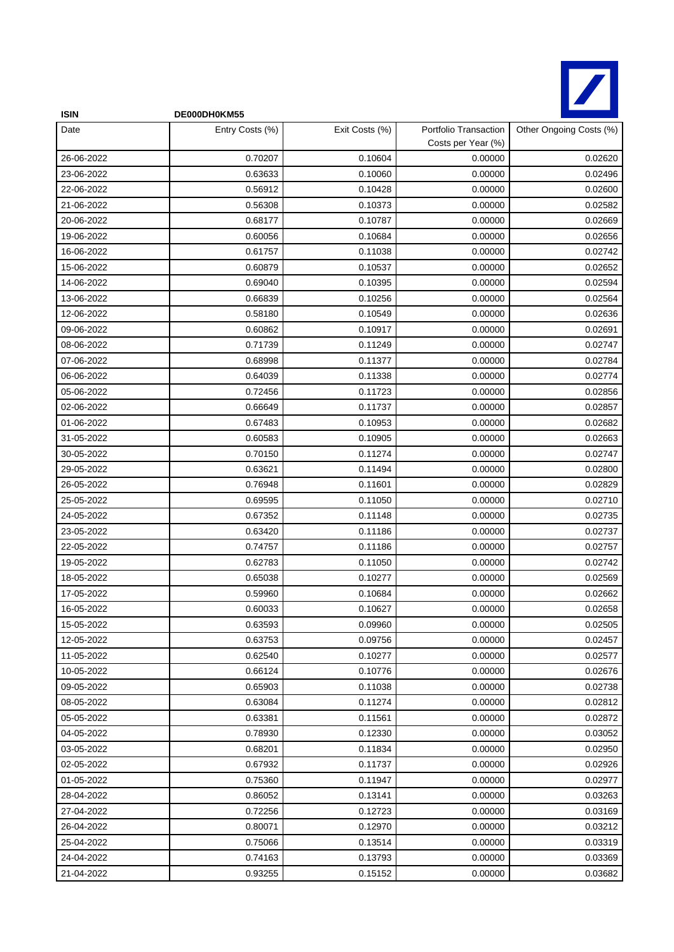

| <b>ISIN</b> | DE000DH0KM55    |                |                                             |                         |
|-------------|-----------------|----------------|---------------------------------------------|-------------------------|
| Date        | Entry Costs (%) | Exit Costs (%) | Portfolio Transaction<br>Costs per Year (%) | Other Ongoing Costs (%) |
| 26-06-2022  | 0.70207         | 0.10604        | 0.00000                                     | 0.02620                 |
| 23-06-2022  | 0.63633         | 0.10060        | 0.00000                                     | 0.02496                 |
| 22-06-2022  | 0.56912         | 0.10428        | 0.00000                                     | 0.02600                 |
| 21-06-2022  | 0.56308         | 0.10373        | 0.00000                                     | 0.02582                 |
| 20-06-2022  | 0.68177         | 0.10787        | 0.00000                                     | 0.02669                 |
| 19-06-2022  | 0.60056         | 0.10684        | 0.00000                                     | 0.02656                 |
| 16-06-2022  | 0.61757         | 0.11038        | 0.00000                                     | 0.02742                 |
| 15-06-2022  | 0.60879         | 0.10537        | 0.00000                                     | 0.02652                 |
| 14-06-2022  | 0.69040         | 0.10395        | 0.00000                                     | 0.02594                 |
| 13-06-2022  | 0.66839         | 0.10256        | 0.00000                                     | 0.02564                 |
| 12-06-2022  | 0.58180         | 0.10549        | 0.00000                                     | 0.02636                 |
| 09-06-2022  | 0.60862         | 0.10917        | 0.00000                                     | 0.02691                 |
| 08-06-2022  | 0.71739         | 0.11249        | 0.00000                                     | 0.02747                 |
| 07-06-2022  | 0.68998         | 0.11377        | 0.00000                                     | 0.02784                 |
| 06-06-2022  | 0.64039         | 0.11338        | 0.00000                                     | 0.02774                 |
| 05-06-2022  | 0.72456         | 0.11723        | 0.00000                                     | 0.02856                 |
| 02-06-2022  | 0.66649         | 0.11737        | 0.00000                                     | 0.02857                 |
| 01-06-2022  | 0.67483         | 0.10953        | 0.00000                                     | 0.02682                 |
| 31-05-2022  | 0.60583         | 0.10905        | 0.00000                                     | 0.02663                 |
| 30-05-2022  | 0.70150         | 0.11274        | 0.00000                                     | 0.02747                 |
| 29-05-2022  | 0.63621         | 0.11494        | 0.00000                                     | 0.02800                 |
| 26-05-2022  | 0.76948         | 0.11601        | 0.00000                                     | 0.02829                 |
| 25-05-2022  | 0.69595         | 0.11050        | 0.00000                                     | 0.02710                 |
| 24-05-2022  | 0.67352         | 0.11148        | 0.00000                                     | 0.02735                 |
| 23-05-2022  | 0.63420         | 0.11186        | 0.00000                                     | 0.02737                 |
| 22-05-2022  | 0.74757         | 0.11186        | 0.00000                                     | 0.02757                 |
| 19-05-2022  | 0.62783         | 0.11050        | 0.00000                                     | 0.02742                 |
| 18-05-2022  | 0.65038         | 0.10277        | 0.00000                                     | 0.02569                 |
| 17-05-2022  | 0.59960         | 0.10684        | 0.00000                                     | 0.02662                 |
| 16-05-2022  | 0.60033         | 0.10627        | 0.00000                                     | 0.02658                 |
| 15-05-2022  | 0.63593         | 0.09960        | 0.00000                                     | 0.02505                 |
| 12-05-2022  | 0.63753         | 0.09756        | 0.00000                                     | 0.02457                 |
| 11-05-2022  | 0.62540         | 0.10277        | 0.00000                                     | 0.02577                 |
| 10-05-2022  | 0.66124         | 0.10776        | 0.00000                                     | 0.02676                 |
| 09-05-2022  | 0.65903         | 0.11038        | 0.00000                                     | 0.02738                 |
| 08-05-2022  | 0.63084         | 0.11274        | 0.00000                                     | 0.02812                 |
| 05-05-2022  | 0.63381         | 0.11561        | 0.00000                                     | 0.02872                 |
| 04-05-2022  | 0.78930         | 0.12330        | 0.00000                                     | 0.03052                 |
| 03-05-2022  | 0.68201         | 0.11834        | 0.00000                                     | 0.02950                 |
| 02-05-2022  | 0.67932         | 0.11737        | 0.00000                                     | 0.02926                 |
| 01-05-2022  | 0.75360         | 0.11947        | 0.00000                                     | 0.02977                 |
| 28-04-2022  | 0.86052         | 0.13141        | 0.00000                                     | 0.03263                 |
| 27-04-2022  | 0.72256         | 0.12723        | 0.00000                                     | 0.03169                 |
| 26-04-2022  | 0.80071         | 0.12970        | 0.00000                                     | 0.03212                 |
| 25-04-2022  | 0.75066         | 0.13514        | 0.00000                                     | 0.03319                 |
| 24-04-2022  | 0.74163         | 0.13793        | 0.00000                                     | 0.03369                 |
| 21-04-2022  | 0.93255         | 0.15152        | 0.00000                                     | 0.03682                 |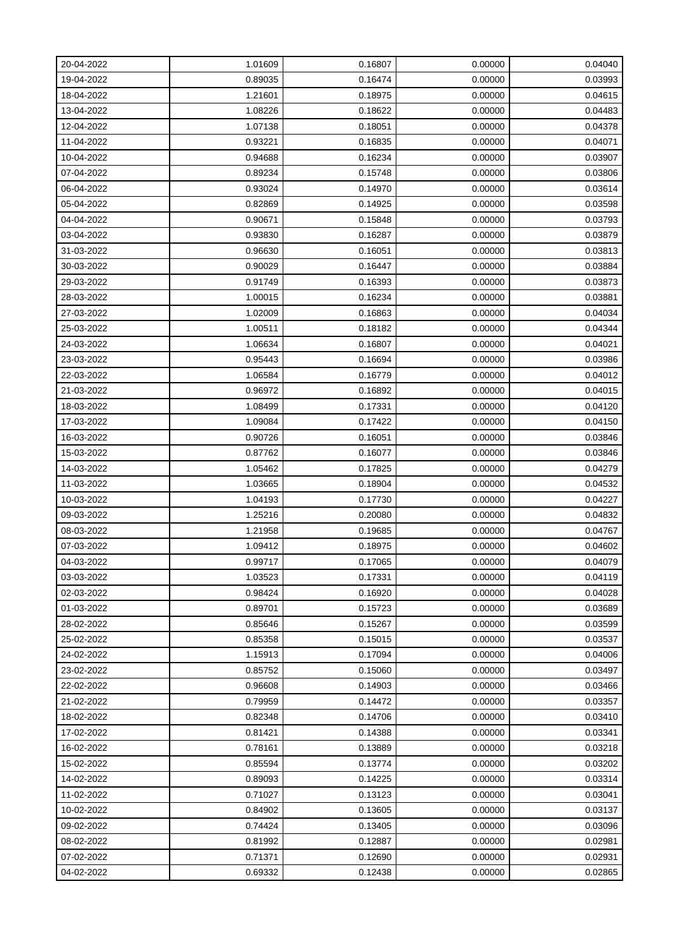| 20-04-2022 | 1.01609 | 0.16807 | 0.00000 | 0.04040 |
|------------|---------|---------|---------|---------|
| 19-04-2022 | 0.89035 | 0.16474 | 0.00000 | 0.03993 |
| 18-04-2022 | 1.21601 | 0.18975 | 0.00000 | 0.04615 |
| 13-04-2022 | 1.08226 | 0.18622 | 0.00000 | 0.04483 |
| 12-04-2022 | 1.07138 | 0.18051 | 0.00000 | 0.04378 |
| 11-04-2022 | 0.93221 | 0.16835 | 0.00000 | 0.04071 |
| 10-04-2022 | 0.94688 | 0.16234 | 0.00000 | 0.03907 |
| 07-04-2022 | 0.89234 | 0.15748 | 0.00000 | 0.03806 |
| 06-04-2022 | 0.93024 | 0.14970 | 0.00000 | 0.03614 |
| 05-04-2022 | 0.82869 | 0.14925 | 0.00000 | 0.03598 |
| 04-04-2022 | 0.90671 | 0.15848 | 0.00000 | 0.03793 |
| 03-04-2022 | 0.93830 | 0.16287 | 0.00000 | 0.03879 |
| 31-03-2022 | 0.96630 | 0.16051 | 0.00000 | 0.03813 |
| 30-03-2022 | 0.90029 | 0.16447 | 0.00000 | 0.03884 |
| 29-03-2022 | 0.91749 | 0.16393 | 0.00000 | 0.03873 |
| 28-03-2022 | 1.00015 | 0.16234 | 0.00000 | 0.03881 |
| 27-03-2022 | 1.02009 | 0.16863 | 0.00000 | 0.04034 |
| 25-03-2022 | 1.00511 | 0.18182 | 0.00000 | 0.04344 |
| 24-03-2022 | 1.06634 | 0.16807 | 0.00000 | 0.04021 |
| 23-03-2022 | 0.95443 | 0.16694 | 0.00000 | 0.03986 |
| 22-03-2022 | 1.06584 | 0.16779 | 0.00000 | 0.04012 |
| 21-03-2022 | 0.96972 | 0.16892 | 0.00000 | 0.04015 |
| 18-03-2022 | 1.08499 | 0.17331 | 0.00000 | 0.04120 |
| 17-03-2022 | 1.09084 | 0.17422 | 0.00000 | 0.04150 |
| 16-03-2022 | 0.90726 | 0.16051 | 0.00000 | 0.03846 |
| 15-03-2022 | 0.87762 | 0.16077 | 0.00000 | 0.03846 |
| 14-03-2022 | 1.05462 | 0.17825 | 0.00000 | 0.04279 |
| 11-03-2022 | 1.03665 | 0.18904 | 0.00000 | 0.04532 |
| 10-03-2022 | 1.04193 | 0.17730 | 0.00000 | 0.04227 |
| 09-03-2022 | 1.25216 | 0.20080 | 0.00000 | 0.04832 |
| 08-03-2022 | 1.21958 | 0.19685 | 0.00000 | 0.04767 |
| 07-03-2022 | 1.09412 | 0.18975 | 0.00000 | 0.04602 |
| 04-03-2022 | 0.99717 | 0.17065 | 0.00000 | 0.04079 |
| 03-03-2022 | 1.03523 | 0.17331 | 0.00000 | 0.04119 |
| 02-03-2022 | 0.98424 | 0.16920 | 0.00000 | 0.04028 |
| 01-03-2022 | 0.89701 | 0.15723 | 0.00000 | 0.03689 |
| 28-02-2022 | 0.85646 | 0.15267 | 0.00000 | 0.03599 |
| 25-02-2022 | 0.85358 | 0.15015 | 0.00000 | 0.03537 |
| 24-02-2022 | 1.15913 | 0.17094 | 0.00000 | 0.04006 |
| 23-02-2022 | 0.85752 | 0.15060 | 0.00000 | 0.03497 |
| 22-02-2022 | 0.96608 | 0.14903 | 0.00000 | 0.03466 |
| 21-02-2022 | 0.79959 | 0.14472 | 0.00000 | 0.03357 |
| 18-02-2022 | 0.82348 | 0.14706 | 0.00000 | 0.03410 |
| 17-02-2022 | 0.81421 | 0.14388 | 0.00000 | 0.03341 |
| 16-02-2022 | 0.78161 | 0.13889 | 0.00000 | 0.03218 |
| 15-02-2022 | 0.85594 | 0.13774 | 0.00000 | 0.03202 |
| 14-02-2022 | 0.89093 | 0.14225 | 0.00000 | 0.03314 |
| 11-02-2022 | 0.71027 | 0.13123 | 0.00000 | 0.03041 |
| 10-02-2022 | 0.84902 | 0.13605 | 0.00000 | 0.03137 |
| 09-02-2022 | 0.74424 | 0.13405 | 0.00000 | 0.03096 |
| 08-02-2022 | 0.81992 | 0.12887 | 0.00000 | 0.02981 |
| 07-02-2022 | 0.71371 | 0.12690 | 0.00000 | 0.02931 |
| 04-02-2022 | 0.69332 | 0.12438 | 0.00000 | 0.02865 |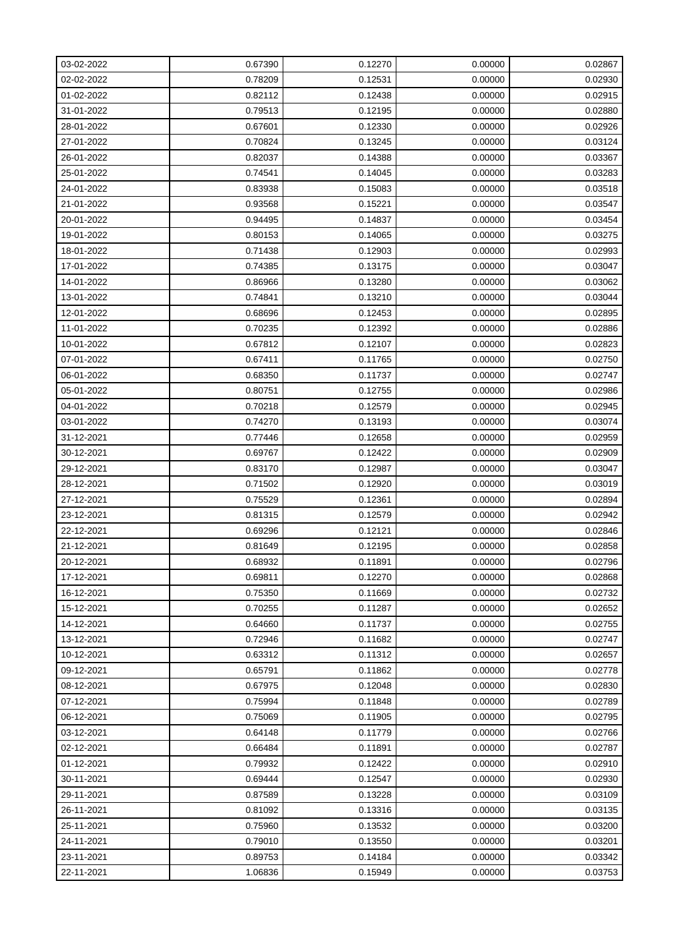| 03-02-2022 | 0.67390 | 0.12270 | 0.00000 | 0.02867 |
|------------|---------|---------|---------|---------|
| 02-02-2022 | 0.78209 | 0.12531 | 0.00000 | 0.02930 |
| 01-02-2022 | 0.82112 | 0.12438 | 0.00000 | 0.02915 |
| 31-01-2022 | 0.79513 | 0.12195 | 0.00000 | 0.02880 |
| 28-01-2022 | 0.67601 | 0.12330 | 0.00000 | 0.02926 |
| 27-01-2022 | 0.70824 | 0.13245 | 0.00000 | 0.03124 |
| 26-01-2022 | 0.82037 | 0.14388 | 0.00000 | 0.03367 |
| 25-01-2022 | 0.74541 | 0.14045 | 0.00000 | 0.03283 |
| 24-01-2022 | 0.83938 | 0.15083 | 0.00000 | 0.03518 |
| 21-01-2022 | 0.93568 | 0.15221 | 0.00000 | 0.03547 |
| 20-01-2022 | 0.94495 | 0.14837 | 0.00000 | 0.03454 |
| 19-01-2022 | 0.80153 | 0.14065 | 0.00000 | 0.03275 |
| 18-01-2022 | 0.71438 | 0.12903 | 0.00000 | 0.02993 |
| 17-01-2022 | 0.74385 | 0.13175 | 0.00000 | 0.03047 |
| 14-01-2022 | 0.86966 | 0.13280 | 0.00000 | 0.03062 |
| 13-01-2022 | 0.74841 | 0.13210 | 0.00000 | 0.03044 |
| 12-01-2022 | 0.68696 | 0.12453 | 0.00000 | 0.02895 |
| 11-01-2022 | 0.70235 | 0.12392 | 0.00000 | 0.02886 |
| 10-01-2022 | 0.67812 | 0.12107 | 0.00000 | 0.02823 |
| 07-01-2022 | 0.67411 | 0.11765 | 0.00000 | 0.02750 |
| 06-01-2022 | 0.68350 | 0.11737 | 0.00000 | 0.02747 |
| 05-01-2022 | 0.80751 | 0.12755 | 0.00000 | 0.02986 |
| 04-01-2022 | 0.70218 | 0.12579 | 0.00000 | 0.02945 |
| 03-01-2022 | 0.74270 | 0.13193 | 0.00000 | 0.03074 |
| 31-12-2021 | 0.77446 | 0.12658 | 0.00000 | 0.02959 |
| 30-12-2021 | 0.69767 | 0.12422 | 0.00000 | 0.02909 |
| 29-12-2021 | 0.83170 | 0.12987 | 0.00000 | 0.03047 |
| 28-12-2021 | 0.71502 | 0.12920 | 0.00000 | 0.03019 |
| 27-12-2021 | 0.75529 | 0.12361 | 0.00000 | 0.02894 |
| 23-12-2021 | 0.81315 | 0.12579 | 0.00000 | 0.02942 |
| 22-12-2021 | 0.69296 | 0.12121 | 0.00000 | 0.02846 |
| 21-12-2021 | 0.81649 | 0.12195 | 0.00000 | 0.02858 |
| 20-12-2021 | 0.68932 | 0.11891 | 0.00000 | 0.02796 |
| 17-12-2021 | 0.69811 | 0.12270 | 0.00000 | 0.02868 |
| 16-12-2021 | 0.75350 | 0.11669 | 0.00000 | 0.02732 |
| 15-12-2021 | 0.70255 | 0.11287 | 0.00000 | 0.02652 |
| 14-12-2021 | 0.64660 | 0.11737 | 0.00000 | 0.02755 |
| 13-12-2021 | 0.72946 | 0.11682 | 0.00000 | 0.02747 |
| 10-12-2021 | 0.63312 | 0.11312 | 0.00000 | 0.02657 |
| 09-12-2021 | 0.65791 | 0.11862 | 0.00000 | 0.02778 |
| 08-12-2021 | 0.67975 | 0.12048 | 0.00000 | 0.02830 |
| 07-12-2021 | 0.75994 | 0.11848 | 0.00000 | 0.02789 |
| 06-12-2021 | 0.75069 | 0.11905 | 0.00000 | 0.02795 |
| 03-12-2021 | 0.64148 | 0.11779 | 0.00000 | 0.02766 |
| 02-12-2021 | 0.66484 | 0.11891 | 0.00000 | 0.02787 |
| 01-12-2021 | 0.79932 | 0.12422 | 0.00000 | 0.02910 |
| 30-11-2021 | 0.69444 | 0.12547 | 0.00000 | 0.02930 |
| 29-11-2021 | 0.87589 | 0.13228 | 0.00000 | 0.03109 |
| 26-11-2021 | 0.81092 | 0.13316 | 0.00000 | 0.03135 |
| 25-11-2021 | 0.75960 | 0.13532 | 0.00000 | 0.03200 |
| 24-11-2021 | 0.79010 | 0.13550 | 0.00000 | 0.03201 |
| 23-11-2021 | 0.89753 | 0.14184 | 0.00000 | 0.03342 |
| 22-11-2021 | 1.06836 | 0.15949 | 0.00000 | 0.03753 |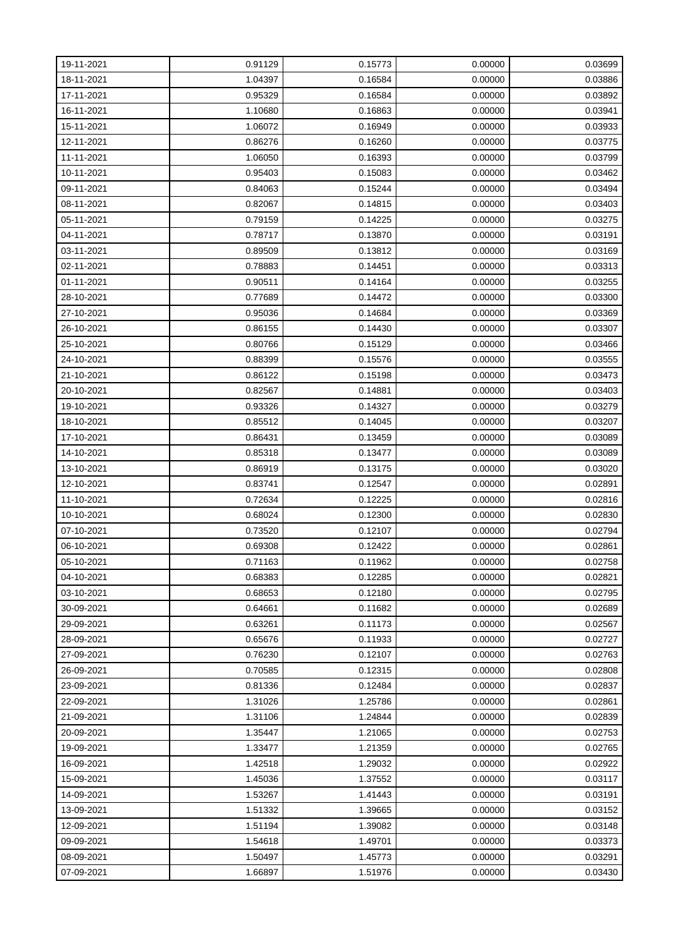| 19-11-2021 | 0.91129 | 0.15773 | 0.00000 | 0.03699 |
|------------|---------|---------|---------|---------|
| 18-11-2021 | 1.04397 | 0.16584 | 0.00000 | 0.03886 |
| 17-11-2021 | 0.95329 | 0.16584 | 0.00000 | 0.03892 |
| 16-11-2021 | 1.10680 | 0.16863 | 0.00000 | 0.03941 |
| 15-11-2021 | 1.06072 | 0.16949 | 0.00000 | 0.03933 |
| 12-11-2021 | 0.86276 | 0.16260 | 0.00000 | 0.03775 |
| 11-11-2021 | 1.06050 | 0.16393 | 0.00000 | 0.03799 |
| 10-11-2021 | 0.95403 | 0.15083 | 0.00000 | 0.03462 |
| 09-11-2021 | 0.84063 | 0.15244 | 0.00000 | 0.03494 |
| 08-11-2021 | 0.82067 | 0.14815 | 0.00000 | 0.03403 |
| 05-11-2021 | 0.79159 | 0.14225 | 0.00000 | 0.03275 |
| 04-11-2021 | 0.78717 | 0.13870 | 0.00000 | 0.03191 |
| 03-11-2021 | 0.89509 | 0.13812 | 0.00000 | 0.03169 |
| 02-11-2021 | 0.78883 | 0.14451 | 0.00000 | 0.03313 |
| 01-11-2021 | 0.90511 | 0.14164 | 0.00000 | 0.03255 |
| 28-10-2021 | 0.77689 | 0.14472 | 0.00000 | 0.03300 |
| 27-10-2021 | 0.95036 | 0.14684 | 0.00000 | 0.03369 |
| 26-10-2021 | 0.86155 | 0.14430 | 0.00000 | 0.03307 |
| 25-10-2021 | 0.80766 | 0.15129 | 0.00000 | 0.03466 |
| 24-10-2021 | 0.88399 | 0.15576 | 0.00000 | 0.03555 |
| 21-10-2021 | 0.86122 | 0.15198 | 0.00000 | 0.03473 |
| 20-10-2021 | 0.82567 | 0.14881 | 0.00000 | 0.03403 |
| 19-10-2021 | 0.93326 | 0.14327 | 0.00000 | 0.03279 |
| 18-10-2021 | 0.85512 | 0.14045 | 0.00000 | 0.03207 |
| 17-10-2021 | 0.86431 | 0.13459 | 0.00000 | 0.03089 |
| 14-10-2021 | 0.85318 | 0.13477 | 0.00000 | 0.03089 |
| 13-10-2021 | 0.86919 | 0.13175 | 0.00000 | 0.03020 |
| 12-10-2021 | 0.83741 | 0.12547 | 0.00000 | 0.02891 |
| 11-10-2021 | 0.72634 | 0.12225 | 0.00000 | 0.02816 |
| 10-10-2021 | 0.68024 | 0.12300 | 0.00000 | 0.02830 |
| 07-10-2021 | 0.73520 | 0.12107 | 0.00000 | 0.02794 |
| 06-10-2021 | 0.69308 | 0.12422 | 0.00000 | 0.02861 |
| 05-10-2021 | 0.71163 | 0.11962 | 0.00000 | 0.02758 |
| 04-10-2021 | 0.68383 | 0.12285 | 0.00000 | 0.02821 |
| 03-10-2021 | 0.68653 | 0.12180 | 0.00000 | 0.02795 |
| 30-09-2021 | 0.64661 | 0.11682 | 0.00000 | 0.02689 |
| 29-09-2021 | 0.63261 | 0.11173 | 0.00000 | 0.02567 |
| 28-09-2021 | 0.65676 | 0.11933 | 0.00000 | 0.02727 |
| 27-09-2021 | 0.76230 | 0.12107 | 0.00000 | 0.02763 |
| 26-09-2021 | 0.70585 | 0.12315 | 0.00000 | 0.02808 |
| 23-09-2021 | 0.81336 | 0.12484 | 0.00000 | 0.02837 |
| 22-09-2021 | 1.31026 | 1.25786 | 0.00000 | 0.02861 |
| 21-09-2021 | 1.31106 | 1.24844 | 0.00000 | 0.02839 |
| 20-09-2021 | 1.35447 | 1.21065 | 0.00000 | 0.02753 |
| 19-09-2021 | 1.33477 | 1.21359 | 0.00000 | 0.02765 |
| 16-09-2021 | 1.42518 | 1.29032 | 0.00000 | 0.02922 |
| 15-09-2021 | 1.45036 | 1.37552 | 0.00000 | 0.03117 |
| 14-09-2021 | 1.53267 | 1.41443 | 0.00000 | 0.03191 |
| 13-09-2021 | 1.51332 | 1.39665 | 0.00000 | 0.03152 |
| 12-09-2021 | 1.51194 | 1.39082 | 0.00000 | 0.03148 |
| 09-09-2021 | 1.54618 | 1.49701 | 0.00000 | 0.03373 |
| 08-09-2021 | 1.50497 | 1.45773 | 0.00000 | 0.03291 |
| 07-09-2021 | 1.66897 | 1.51976 | 0.00000 | 0.03430 |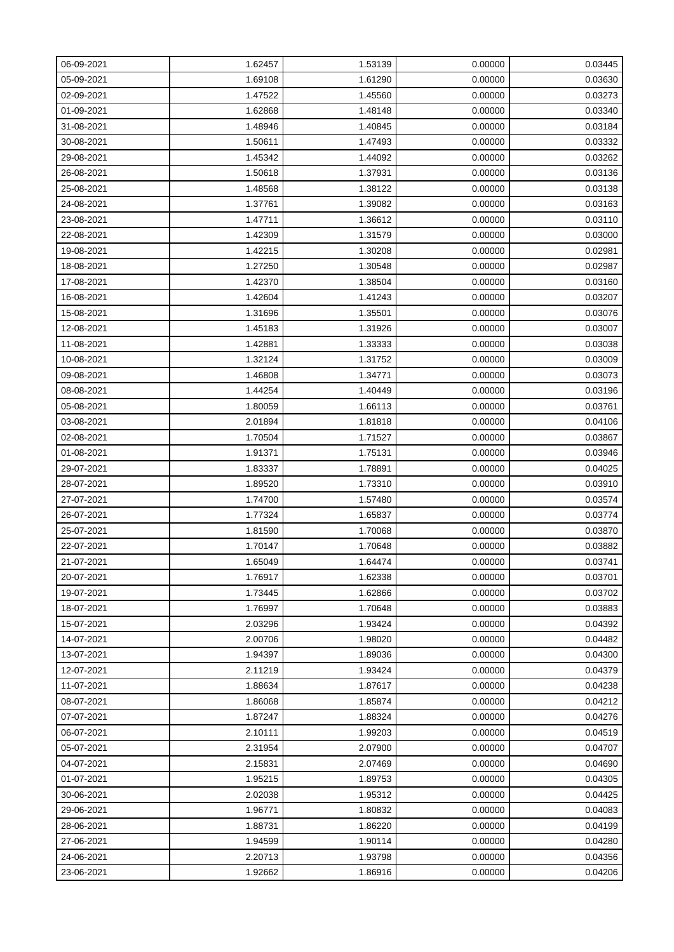| 06-09-2021 | 1.62457 | 1.53139 | 0.00000 | 0.03445 |
|------------|---------|---------|---------|---------|
| 05-09-2021 | 1.69108 | 1.61290 | 0.00000 | 0.03630 |
| 02-09-2021 | 1.47522 | 1.45560 | 0.00000 | 0.03273 |
| 01-09-2021 | 1.62868 | 1.48148 | 0.00000 | 0.03340 |
| 31-08-2021 | 1.48946 | 1.40845 | 0.00000 | 0.03184 |
| 30-08-2021 | 1.50611 | 1.47493 | 0.00000 | 0.03332 |
| 29-08-2021 | 1.45342 | 1.44092 | 0.00000 | 0.03262 |
| 26-08-2021 | 1.50618 | 1.37931 | 0.00000 | 0.03136 |
| 25-08-2021 | 1.48568 | 1.38122 | 0.00000 | 0.03138 |
| 24-08-2021 | 1.37761 | 1.39082 | 0.00000 | 0.03163 |
| 23-08-2021 | 1.47711 | 1.36612 | 0.00000 | 0.03110 |
| 22-08-2021 | 1.42309 | 1.31579 | 0.00000 | 0.03000 |
| 19-08-2021 | 1.42215 | 1.30208 | 0.00000 | 0.02981 |
| 18-08-2021 | 1.27250 | 1.30548 | 0.00000 | 0.02987 |
| 17-08-2021 | 1.42370 | 1.38504 | 0.00000 | 0.03160 |
| 16-08-2021 | 1.42604 | 1.41243 | 0.00000 | 0.03207 |
| 15-08-2021 | 1.31696 | 1.35501 | 0.00000 | 0.03076 |
| 12-08-2021 | 1.45183 | 1.31926 | 0.00000 | 0.03007 |
| 11-08-2021 | 1.42881 | 1.33333 | 0.00000 | 0.03038 |
| 10-08-2021 | 1.32124 | 1.31752 | 0.00000 | 0.03009 |
| 09-08-2021 | 1.46808 | 1.34771 | 0.00000 | 0.03073 |
| 08-08-2021 | 1.44254 | 1.40449 | 0.00000 | 0.03196 |
| 05-08-2021 | 1.80059 | 1.66113 | 0.00000 | 0.03761 |
| 03-08-2021 | 2.01894 | 1.81818 | 0.00000 | 0.04106 |
| 02-08-2021 | 1.70504 | 1.71527 | 0.00000 | 0.03867 |
| 01-08-2021 | 1.91371 | 1.75131 | 0.00000 | 0.03946 |
| 29-07-2021 | 1.83337 | 1.78891 | 0.00000 | 0.04025 |
| 28-07-2021 | 1.89520 | 1.73310 | 0.00000 | 0.03910 |
| 27-07-2021 | 1.74700 | 1.57480 | 0.00000 | 0.03574 |
| 26-07-2021 | 1.77324 | 1.65837 | 0.00000 | 0.03774 |
| 25-07-2021 | 1.81590 | 1.70068 | 0.00000 | 0.03870 |
| 22-07-2021 | 1.70147 | 1.70648 | 0.00000 | 0.03882 |
| 21-07-2021 | 1.65049 | 1.64474 | 0.00000 | 0.03741 |
| 20-07-2021 | 1.76917 | 1.62338 | 0.00000 | 0.03701 |
| 19-07-2021 | 1.73445 | 1.62866 | 0.00000 | 0.03702 |
| 18-07-2021 | 1.76997 | 1.70648 | 0.00000 | 0.03883 |
| 15-07-2021 | 2.03296 | 1.93424 | 0.00000 | 0.04392 |
| 14-07-2021 | 2.00706 | 1.98020 | 0.00000 | 0.04482 |
| 13-07-2021 | 1.94397 | 1.89036 | 0.00000 | 0.04300 |
| 12-07-2021 | 2.11219 | 1.93424 | 0.00000 | 0.04379 |
| 11-07-2021 | 1.88634 | 1.87617 | 0.00000 | 0.04238 |
| 08-07-2021 | 1.86068 | 1.85874 | 0.00000 | 0.04212 |
| 07-07-2021 | 1.87247 | 1.88324 | 0.00000 | 0.04276 |
| 06-07-2021 | 2.10111 | 1.99203 | 0.00000 | 0.04519 |
| 05-07-2021 | 2.31954 | 2.07900 | 0.00000 | 0.04707 |
| 04-07-2021 | 2.15831 | 2.07469 | 0.00000 | 0.04690 |
| 01-07-2021 | 1.95215 | 1.89753 | 0.00000 | 0.04305 |
| 30-06-2021 | 2.02038 | 1.95312 | 0.00000 | 0.04425 |
| 29-06-2021 | 1.96771 | 1.80832 | 0.00000 | 0.04083 |
| 28-06-2021 | 1.88731 | 1.86220 | 0.00000 | 0.04199 |
| 27-06-2021 | 1.94599 | 1.90114 | 0.00000 | 0.04280 |
| 24-06-2021 | 2.20713 | 1.93798 | 0.00000 | 0.04356 |
| 23-06-2021 | 1.92662 | 1.86916 | 0.00000 | 0.04206 |